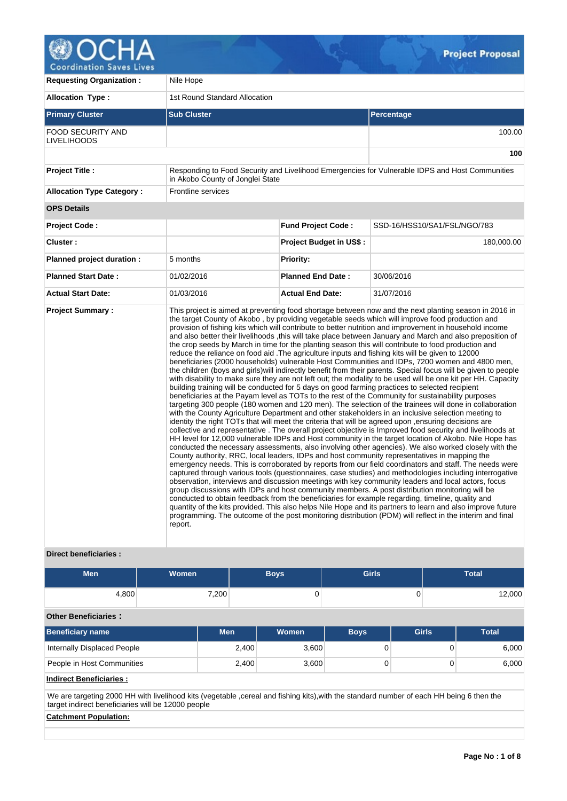

**Coordination Saves Lives** 

| <b>Requesting Organization:</b>                | Nile Hope                        |                                |                                                                                                                                                                                                                                                                                                                                                                                                                                                                                                                                                                                                                                                                                                                                                                                                                                                                                                                                                                                                                                                                                                                                                                                                                                                                                                                                                                                                                                                                                                                                                                                                                                                                                                                                                                                                                                                                                                                                                                                                                                                                                                                                                                                                                                                                                                                                                                                                                                                                                                                                                                                                                                                                                                          |  |  |  |  |  |
|------------------------------------------------|----------------------------------|--------------------------------|----------------------------------------------------------------------------------------------------------------------------------------------------------------------------------------------------------------------------------------------------------------------------------------------------------------------------------------------------------------------------------------------------------------------------------------------------------------------------------------------------------------------------------------------------------------------------------------------------------------------------------------------------------------------------------------------------------------------------------------------------------------------------------------------------------------------------------------------------------------------------------------------------------------------------------------------------------------------------------------------------------------------------------------------------------------------------------------------------------------------------------------------------------------------------------------------------------------------------------------------------------------------------------------------------------------------------------------------------------------------------------------------------------------------------------------------------------------------------------------------------------------------------------------------------------------------------------------------------------------------------------------------------------------------------------------------------------------------------------------------------------------------------------------------------------------------------------------------------------------------------------------------------------------------------------------------------------------------------------------------------------------------------------------------------------------------------------------------------------------------------------------------------------------------------------------------------------------------------------------------------------------------------------------------------------------------------------------------------------------------------------------------------------------------------------------------------------------------------------------------------------------------------------------------------------------------------------------------------------------------------------------------------------------------------------------------------------|--|--|--|--|--|
| <b>Allocation Type:</b>                        | 1st Round Standard Allocation    |                                |                                                                                                                                                                                                                                                                                                                                                                                                                                                                                                                                                                                                                                                                                                                                                                                                                                                                                                                                                                                                                                                                                                                                                                                                                                                                                                                                                                                                                                                                                                                                                                                                                                                                                                                                                                                                                                                                                                                                                                                                                                                                                                                                                                                                                                                                                                                                                                                                                                                                                                                                                                                                                                                                                                          |  |  |  |  |  |
| <b>Primary Cluster</b>                         | <b>Sub Cluster</b>               |                                | Percentage                                                                                                                                                                                                                                                                                                                                                                                                                                                                                                                                                                                                                                                                                                                                                                                                                                                                                                                                                                                                                                                                                                                                                                                                                                                                                                                                                                                                                                                                                                                                                                                                                                                                                                                                                                                                                                                                                                                                                                                                                                                                                                                                                                                                                                                                                                                                                                                                                                                                                                                                                                                                                                                                                               |  |  |  |  |  |
| <b>FOOD SECURITY AND</b><br><b>LIVELIHOODS</b> |                                  |                                | 100.00                                                                                                                                                                                                                                                                                                                                                                                                                                                                                                                                                                                                                                                                                                                                                                                                                                                                                                                                                                                                                                                                                                                                                                                                                                                                                                                                                                                                                                                                                                                                                                                                                                                                                                                                                                                                                                                                                                                                                                                                                                                                                                                                                                                                                                                                                                                                                                                                                                                                                                                                                                                                                                                                                                   |  |  |  |  |  |
|                                                |                                  |                                | 100                                                                                                                                                                                                                                                                                                                                                                                                                                                                                                                                                                                                                                                                                                                                                                                                                                                                                                                                                                                                                                                                                                                                                                                                                                                                                                                                                                                                                                                                                                                                                                                                                                                                                                                                                                                                                                                                                                                                                                                                                                                                                                                                                                                                                                                                                                                                                                                                                                                                                                                                                                                                                                                                                                      |  |  |  |  |  |
| <b>Project Title:</b>                          | in Akobo County of Jonglei State |                                | Responding to Food Security and Livelihood Emergencies for Vulnerable IDPS and Host Communities                                                                                                                                                                                                                                                                                                                                                                                                                                                                                                                                                                                                                                                                                                                                                                                                                                                                                                                                                                                                                                                                                                                                                                                                                                                                                                                                                                                                                                                                                                                                                                                                                                                                                                                                                                                                                                                                                                                                                                                                                                                                                                                                                                                                                                                                                                                                                                                                                                                                                                                                                                                                          |  |  |  |  |  |
| <b>Allocation Type Category:</b>               | Frontline services               |                                |                                                                                                                                                                                                                                                                                                                                                                                                                                                                                                                                                                                                                                                                                                                                                                                                                                                                                                                                                                                                                                                                                                                                                                                                                                                                                                                                                                                                                                                                                                                                                                                                                                                                                                                                                                                                                                                                                                                                                                                                                                                                                                                                                                                                                                                                                                                                                                                                                                                                                                                                                                                                                                                                                                          |  |  |  |  |  |
| <b>OPS Details</b>                             |                                  |                                |                                                                                                                                                                                                                                                                                                                                                                                                                                                                                                                                                                                                                                                                                                                                                                                                                                                                                                                                                                                                                                                                                                                                                                                                                                                                                                                                                                                                                                                                                                                                                                                                                                                                                                                                                                                                                                                                                                                                                                                                                                                                                                                                                                                                                                                                                                                                                                                                                                                                                                                                                                                                                                                                                                          |  |  |  |  |  |
| <b>Project Code:</b>                           |                                  | <b>Fund Project Code:</b>      | SSD-16/HSS10/SA1/FSL/NGO/783                                                                                                                                                                                                                                                                                                                                                                                                                                                                                                                                                                                                                                                                                                                                                                                                                                                                                                                                                                                                                                                                                                                                                                                                                                                                                                                                                                                                                                                                                                                                                                                                                                                                                                                                                                                                                                                                                                                                                                                                                                                                                                                                                                                                                                                                                                                                                                                                                                                                                                                                                                                                                                                                             |  |  |  |  |  |
| Cluster:                                       |                                  | <b>Project Budget in US\$:</b> | 180,000.00                                                                                                                                                                                                                                                                                                                                                                                                                                                                                                                                                                                                                                                                                                                                                                                                                                                                                                                                                                                                                                                                                                                                                                                                                                                                                                                                                                                                                                                                                                                                                                                                                                                                                                                                                                                                                                                                                                                                                                                                                                                                                                                                                                                                                                                                                                                                                                                                                                                                                                                                                                                                                                                                                               |  |  |  |  |  |
| Planned project duration :                     | 5 months                         | <b>Priority:</b>               |                                                                                                                                                                                                                                                                                                                                                                                                                                                                                                                                                                                                                                                                                                                                                                                                                                                                                                                                                                                                                                                                                                                                                                                                                                                                                                                                                                                                                                                                                                                                                                                                                                                                                                                                                                                                                                                                                                                                                                                                                                                                                                                                                                                                                                                                                                                                                                                                                                                                                                                                                                                                                                                                                                          |  |  |  |  |  |
| <b>Planned Start Date:</b>                     | 01/02/2016                       | <b>Planned End Date:</b>       | 30/06/2016                                                                                                                                                                                                                                                                                                                                                                                                                                                                                                                                                                                                                                                                                                                                                                                                                                                                                                                                                                                                                                                                                                                                                                                                                                                                                                                                                                                                                                                                                                                                                                                                                                                                                                                                                                                                                                                                                                                                                                                                                                                                                                                                                                                                                                                                                                                                                                                                                                                                                                                                                                                                                                                                                               |  |  |  |  |  |
| <b>Actual Start Date:</b>                      | 01/03/2016                       | <b>Actual End Date:</b>        | 31/07/2016                                                                                                                                                                                                                                                                                                                                                                                                                                                                                                                                                                                                                                                                                                                                                                                                                                                                                                                                                                                                                                                                                                                                                                                                                                                                                                                                                                                                                                                                                                                                                                                                                                                                                                                                                                                                                                                                                                                                                                                                                                                                                                                                                                                                                                                                                                                                                                                                                                                                                                                                                                                                                                                                                               |  |  |  |  |  |
| <b>Project Summary:</b>                        | report.                          |                                | This project is aimed at preventing food shortage between now and the next planting season in 2016 in<br>the target County of Akobo, by providing vegetable seeds which will improve food production and<br>provision of fishing kits which will contribute to better nutrition and improvement in household income<br>and also better their livelihoods, this will take place between January and March and also preposition of<br>the crop seeds by March in time for the planting season this will contribute to food production and<br>reduce the reliance on food aid . The agriculture inputs and fishing kits will be given to 12000<br>beneficiaries (2000 households) vulnerable Host Communities and IDPs, 7200 women and 4800 men,<br>the children (boys and girls) will indirectly benefit from their parents. Special focus will be given to people<br>with disability to make sure they are not left out; the modality to be used will be one kit per HH. Capacity<br>building training will be conducted for 5 days on good farming practices to selected recipient<br>beneficiaries at the Payam level as TOTs to the rest of the Community for sustainability purposes<br>targeting 300 people (180 women and 120 men). The selection of the trainees will done in collaboration<br>with the County Agriculture Department and other stakeholders in an inclusive selection meeting to<br>identity the right TOTs that will meet the criteria that will be agreed upon, ensuring decisions are<br>collective and representative. The overall project objective is Improved food security and livelihoods at<br>HH level for 12,000 vulnerable IDPs and Host community in the target location of Akobo. Nile Hope has<br>conducted the necessary assessments, also involving other agencies). We also worked closely with the<br>County authority, RRC, local leaders, IDPs and host community representatives in mapping the<br>emergency needs. This is corroborated by reports from our field coordinators and staff. The needs were<br>captured through various tools (questionnaires, case studies) and methodologies including interrogative<br>observation, interviews and discussion meetings with key community leaders and local actors, focus<br>group discussions with IDPs and host community members. A post distribution monitoring will be<br>conducted to obtain feedback from the beneficiaries for example regarding, timeline, quality and<br>quantity of the kits provided. This also helps Nile Hope and its partners to learn and also improve future<br>programming. The outcome of the post monitoring distribution (PDM) will reflect in the interim and final |  |  |  |  |  |

# **Direct beneficiaries :**

| <b>Men</b>                     | Women |            | <b>Boys</b> | <b>Girls</b>   |              |          | <b>Total</b> |  |  |  |  |
|--------------------------------|-------|------------|-------------|----------------|--------------|----------|--------------|--|--|--|--|
| 4,800                          |       | 7,200      | 0           |                | 0            |          | 12,000       |  |  |  |  |
| <b>Other Beneficiaries:</b>    |       |            |             |                |              |          |              |  |  |  |  |
| Beneficiary name               |       | <b>Men</b> | Women       | <b>Boys</b>    | <b>Girls</b> |          | <b>Total</b> |  |  |  |  |
| Internally Displaced People    |       | 2,400      | 3,600       | $\overline{0}$ |              | 0        | 6,000        |  |  |  |  |
| People in Host Communities     |       | 2,400      | 3,600       | $\overline{0}$ |              | $\Omega$ | 6,000        |  |  |  |  |
| <b>Indirect Beneficiaries:</b> |       |            |             |                |              |          |              |  |  |  |  |

We are targeting 2000 HH with livelihood kits (vegetable ,cereal and fishing kits),with the standard number of each HH being 6 then the target indirect beneficiaries will be 12000 people

# **Catchment Population:**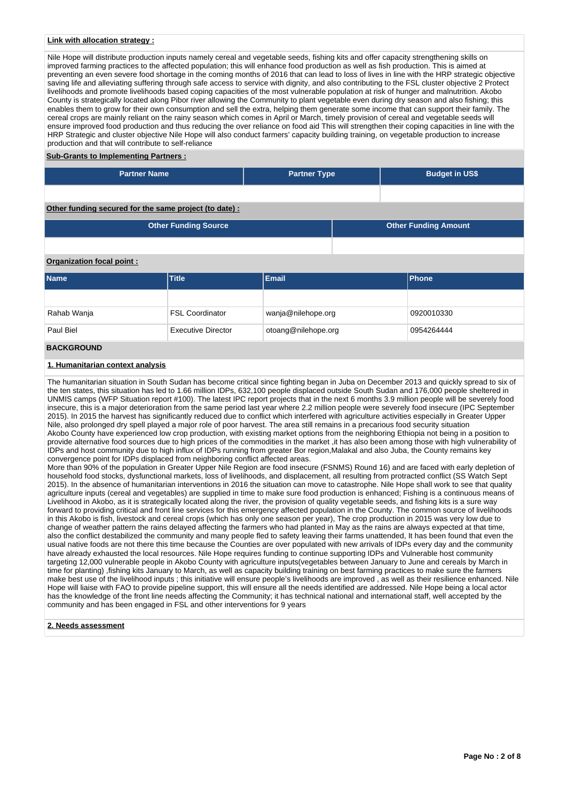## **Link with allocation strategy :**

Nile Hope will distribute production inputs namely cereal and vegetable seeds, fishing kits and offer capacity strengthening skills on improved farming practices to the affected population; this will enhance food production as well as fish production. This is aimed at preventing an even severe food shortage in the coming months of 2016 that can lead to loss of lives in line with the HRP strategic objective saving life and alleviating suffering through safe access to service with dignity, and also contributing to the FSL cluster objective 2 Protect livelihoods and promote livelihoods based coping capacities of the most vulnerable population at risk of hunger and malnutrition. Akobo County is strategically located along Pibor river allowing the Community to plant vegetable even during dry season and also fishing; this enables them to grow for their own consumption and sell the extra, helping them generate some income that can support their family. The cereal crops are mainly reliant on the rainy season which comes in April or March, timely provision of cereal and vegetable seeds will ensure improved food production and thus reducing the over reliance on food aid This will strengthen their coping capacities in line with the HRP Strategic and cluster objective Nile Hope will also conduct farmers' capacity building training, on vegetable production to increase production and that will contribute to self-reliance

#### **Sub-Grants to Implementing Partners :**

| <b>Partner Name</b>                                   | <b>Partner Type</b> | <b>Budget in US\$</b> |
|-------------------------------------------------------|---------------------|-----------------------|
|                                                       |                     |                       |
| Other funding secured for the same project (to date): |                     |                       |

| <b>Other Funding Source</b> | <b>Other Funding Amount</b> |
|-----------------------------|-----------------------------|
|                             |                             |

## **Organization focal point :**

| <b>Name</b>                     | <b>Title</b>           | <b>Email</b>        | <b>Phone</b> |  |  |
|---------------------------------|------------------------|---------------------|--------------|--|--|
|                                 |                        |                     |              |  |  |
| Rahab Wanja                     | <b>FSL Coordinator</b> | wanja@nilehope.org  | 0920010330   |  |  |
| Paul Biel<br>Executive Director |                        | otoang@nilehope.org | 0954264444   |  |  |
| <b>BACKGROUND</b>               |                        |                     |              |  |  |

# **1. Humanitarian context analysis**

The humanitarian situation in South Sudan has become critical since fighting began in Juba on December 2013 and quickly spread to six of the ten states, this situation has led to 1.66 million IDPs, 632,100 people displaced outside South Sudan and 176,000 people sheltered in UNMIS camps (WFP Situation report #100). The latest IPC report projects that in the next 6 months 3.9 million people will be severely food insecure, this is a major deterioration from the same period last year where 2.2 million people were severely food insecure (IPC September 2015). In 2015 the harvest has significantly reduced due to conflict which interfered with agriculture activities especially in Greater Upper Nile, also prolonged dry spell played a major role of poor harvest. The area still remains in a precarious food security situation Akobo County have experienced low crop production, with existing market options from the neighboring Ethiopia not being in a position to provide alternative food sources due to high prices of the commodities in the market ,it has also been among those with high vulnerability of IDPs and host community due to high influx of IDPs running from greater Bor region,Malakal and also Juba, the County remains key convergence point for IDPs displaced from neighboring conflict affected areas.

More than 90% of the population in Greater Upper Nile Region are food insecure (FSNMS) Round 16) and are faced with early depletion of household food stocks, dysfunctional markets, loss of livelihoods, and displacement, all resulting from protracted conflict (SS Watch Sept 2015). In the absence of humanitarian interventions in 2016 the situation can move to catastrophe. Nile Hope shall work to see that quality agriculture inputs (cereal and vegetables) are supplied in time to make sure food production is enhanced; Fishing is a continuous means of Livelihood in Akobo, as it is strategically located along the river, the provision of quality vegetable seeds, and fishing kits is a sure way forward to providing critical and front line services for this emergency affected population in the County. The common source of livelihoods in this Akobo is fish, livestock and cereal crops (which has only one season per year), The crop production in 2015 was very low due to change of weather pattern the rains delayed affecting the farmers who had planted in May as the rains are always expected at that time, also the conflict destabilized the community and many people fled to safety leaving their farms unattended, It has been found that even the usual native foods are not there this time because the Counties are over populated with new arrivals of IDPs every day and the community have already exhausted the local resources. Nile Hope requires funding to continue supporting IDPs and Vulnerable host community targeting 12,000 vulnerable people in Akobo County with agriculture inputs(vegetables between January to June and cereals by March in time for planting), fishing kits January to March, as well as capacity building training on best farming practices to make sure the farmers make best use of the livelihood inputs ; this initiative will ensure people's livelihoods are improved , as well as their resilience enhanced. Nile Hope will liaise with FAO to provide pipeline support, this will ensure all the needs identified are addressed. Nile Hope being a local actor has the knowledge of the front line needs affecting the Community; it has technical national and international staff, well accepted by the community and has been engaged in FSL and other interventions for 9 years

#### **2. Needs assessment**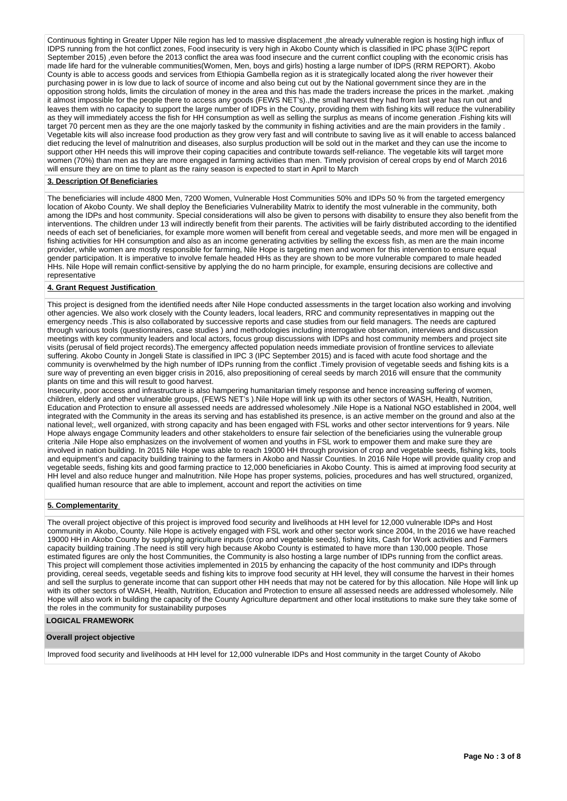Continuous fighting in Greater Upper Nile region has led to massive displacement ,the already vulnerable region is hosting high influx of IDPS running from the hot conflict zones, Food insecurity is very high in Akobo County which is classified in IPC phase 3(IPC report September 2015) ,even before the 2013 conflict the area was food insecure and the current conflict coupling with the economic crisis has made life hard for the vulnerable communities(Women, Men, boys and girls) hosting a large number of IDPS (RRM REPORT). Akobo County is able to access goods and services from Ethiopia Gambella region as it is strategically located along the river however their purchasing power in is low due to lack of source of income and also being cut out by the National government since they are in the opposition strong holds, limits the circulation of money in the area and this has made the traders increase the prices in the market. ,making it almost impossible for the people there to access any goods (FEWS NET's).,the small harvest they had from last year has run out and leaves them with no capacity to support the large number of IDPs in the County, providing them with fishing kits will reduce the vulnerability as they will immediately access the fish for HH consumption as well as selling the surplus as means of income generation .Fishing kits will target 70 percent men as they are the one majorly tasked by the community in fishing activities and are the main providers in the family . Vegetable kits will also increase food production as they grow very fast and will contribute to saving live as it will enable to access balanced diet reducing the level of malnutrition and diseases, also surplus production will be sold out in the market and they can use the income to support other HH needs this will improve their coping capacities and contribute towards self-reliance. The vegetable kits will target more women (70%) than men as they are more engaged in farming activities than men. Timely provision of cereal crops by end of March 2016 will ensure they are on time to plant as the rainy season is expected to start in April to March

## **3. Description Of Beneficiaries**

The beneficiaries will include 4800 Men, 7200 Women, Vulnerable Host Communities 50% and IDPs 50 % from the targeted emergency location of Akobo County. We shall deploy the Beneficiaries Vulnerability Matrix to identify the most vulnerable in the community, both among the IDPs and host community. Special considerations will also be given to persons with disability to ensure they also benefit from the interventions. The children under 13 will indirectly benefit from their parents. The activities will be fairly distributed according to the identified needs of each set of beneficiaries, for example more women will benefit from cereal and vegetable seeds, and more men will be engaged in fishing activities for HH consumption and also as an income generating activities by selling the excess fish, as men are the main income provider, while women are mostly responsible for farming, Nile Hope is targeting men and women for this intervention to ensure equal gender participation. It is imperative to involve female headed HHs as they are shown to be more vulnerable compared to male headed HHs. Nile Hope will remain conflict-sensitive by applying the do no harm principle, for example, ensuring decisions are collective and representative

#### **4. Grant Request Justification**

This project is designed from the identified needs after Nile Hope conducted assessments in the target location also working and involving other agencies. We also work closely with the County leaders, local leaders, RRC and community representatives in mapping out the emergency needs .This is also collaborated by successive reports and case studies from our field managers. The needs are captured through various tools (questionnaires, case studies ) and methodologies including interrogative observation, interviews and discussion meetings with key community leaders and local actors, focus group discussions with IDPs and host community members and project site visits (perusal of field project records).The emergency affected population needs immediate provision of frontline services to alleviate suffering. Akobo County in Jongeli State is classified in IPC 3 (IPC September 2015) and is faced with acute food shortage and the community is overwhelmed by the high number of IDPs running from the conflict .Timely provision of vegetable seeds and fishing kits is a sure way of preventing an even bigger crisis in 2016, also prepositioning of cereal seeds by march 2016 will ensure that the community plants on time and this will result to good harvest.

Insecurity, poor access and infrastructure is also hampering humanitarian timely response and hence increasing suffering of women, children, elderly and other vulnerable groups, (FEWS NET's ).Nile Hope will link up with its other sectors of WASH, Health, Nutrition, Education and Protection to ensure all assessed needs are addressed wholesomely .Nile Hope is a National NGO established in 2004, well integrated with the Community in the areas its serving and has established its presence, is an active member on the ground and also at the national level;, well organized, with strong capacity and has been engaged with FSL works and other sector interventions for 9 years. Nile Hope always engage Community leaders and other stakeholders to ensure fair selection of the beneficiaries using the vulnerable group criteria .Nile Hope also emphasizes on the involvement of women and youths in FSL work to empower them and make sure they are involved in nation building. In 2015 Nile Hope was able to reach 19000 HH through provision of crop and vegetable seeds, fishing kits, tools and equipment's and capacity building training to the farmers in Akobo and Nassir Counties. In 2016 Nile Hope will provide quality crop and vegetable seeds, fishing kits and good farming practice to 12,000 beneficiaries in Akobo County. This is aimed at improving food security at HH level and also reduce hunger and malnutrition. Nile Hope has proper systems, policies, procedures and has well structured, organized, qualified human resource that are able to implement, account and report the activities on time

## **5. Complementarity**

The overall project objective of this project is improved food security and livelihoods at HH level for 12,000 vulnerable IDPs and Host community in Akobo, County. Nile Hope is actively engaged with FSL work and other sector work since 2004, In the 2016 we have reached 19000 HH in Akobo County by supplying agriculture inputs (crop and vegetable seeds), fishing kits, Cash for Work activities and Farmers capacity building training .The need is still very high because Akobo County is estimated to have more than 130,000 people. Those estimated figures are only the host Communities, the Community is also hosting a large number of IDPs running from the conflict areas. This project will complement those activities implemented in 2015 by enhancing the capacity of the host community and IDPs through providing, cereal seeds, vegetable seeds and fishing kits to improve food security at HH level, they will consume the harvest in their homes and sell the surplus to generate income that can support other HH needs that may not be catered for by this allocation. Nile Hope will link up with its other sectors of WASH, Health, Nutrition, Education and Protection to ensure all assessed needs are addressed wholesomely. Nile Hope will also work in building the capacity of the County Agriculture department and other local institutions to make sure they take some of the roles in the community for sustainability purposes

# **LOGICAL FRAMEWORK**

#### **Overall project objective**

Improved food security and livelihoods at HH level for 12,000 vulnerable IDPs and Host community in the target County of Akobo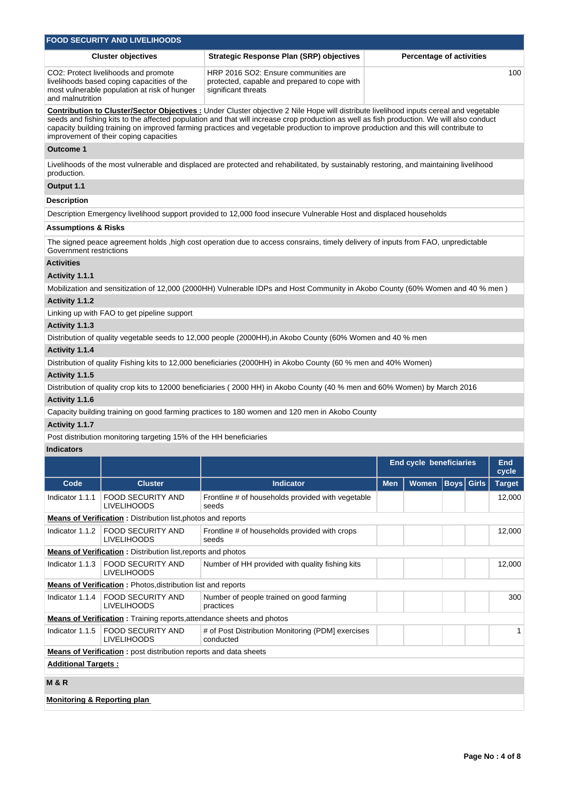|                                                                                                                                                                                                                                                                                                                                                                                                                                                                             | <b>FOOD SECURITY AND LIVELIHOODS</b>                                                                                                                                                                                                                     |                                                                                                                                        |            |                                 |                   |  |               |  |  |  |  |
|-----------------------------------------------------------------------------------------------------------------------------------------------------------------------------------------------------------------------------------------------------------------------------------------------------------------------------------------------------------------------------------------------------------------------------------------------------------------------------|----------------------------------------------------------------------------------------------------------------------------------------------------------------------------------------------------------------------------------------------------------|----------------------------------------------------------------------------------------------------------------------------------------|------------|---------------------------------|-------------------|--|---------------|--|--|--|--|
|                                                                                                                                                                                                                                                                                                                                                                                                                                                                             | <b>Cluster objectives</b>                                                                                                                                                                                                                                | <b>Strategic Response Plan (SRP) objectives</b>                                                                                        |            | <b>Percentage of activities</b> |                   |  |               |  |  |  |  |
| and malnutrition                                                                                                                                                                                                                                                                                                                                                                                                                                                            | HRP 2016 SO2: Ensure communities are<br>CO2: Protect livelihoods and promote<br>100<br>livelihoods based coping capacities of the<br>protected, capable and prepared to cope with<br>most vulnerable population at risk of hunger<br>significant threats |                                                                                                                                        |            |                                 |                   |  |               |  |  |  |  |
| <b>Contribution to Cluster/Sector Objectives :</b> Under Cluster objective 2 Nile Hope will distribute livelihood inputs cereal and vegetable<br>seeds and fishing kits to the affected population and that will increase crop production as well as fish production. We will also conduct<br>capacity building training on improved farming practices and vegetable production to improve production and this will contribute to<br>improvement of their coping capacities |                                                                                                                                                                                                                                                          |                                                                                                                                        |            |                                 |                   |  |               |  |  |  |  |
| <b>Outcome 1</b>                                                                                                                                                                                                                                                                                                                                                                                                                                                            |                                                                                                                                                                                                                                                          |                                                                                                                                        |            |                                 |                   |  |               |  |  |  |  |
| production.                                                                                                                                                                                                                                                                                                                                                                                                                                                                 |                                                                                                                                                                                                                                                          | Livelihoods of the most vulnerable and displaced are protected and rehabilitated, by sustainably restoring, and maintaining livelihood |            |                                 |                   |  |               |  |  |  |  |
| Output 1.1                                                                                                                                                                                                                                                                                                                                                                                                                                                                  |                                                                                                                                                                                                                                                          |                                                                                                                                        |            |                                 |                   |  |               |  |  |  |  |
| Description                                                                                                                                                                                                                                                                                                                                                                                                                                                                 |                                                                                                                                                                                                                                                          |                                                                                                                                        |            |                                 |                   |  |               |  |  |  |  |
|                                                                                                                                                                                                                                                                                                                                                                                                                                                                             |                                                                                                                                                                                                                                                          | Description Emergency livelihood support provided to 12,000 food insecure Vulnerable Host and displaced households                     |            |                                 |                   |  |               |  |  |  |  |
| Assumptions & Risks                                                                                                                                                                                                                                                                                                                                                                                                                                                         |                                                                                                                                                                                                                                                          |                                                                                                                                        |            |                                 |                   |  |               |  |  |  |  |
| Government restrictions                                                                                                                                                                                                                                                                                                                                                                                                                                                     |                                                                                                                                                                                                                                                          | The signed peace agreement holds, high cost operation due to access consrains, timely delivery of inputs from FAO, unpredictable       |            |                                 |                   |  |               |  |  |  |  |
| <b>Activities</b>                                                                                                                                                                                                                                                                                                                                                                                                                                                           |                                                                                                                                                                                                                                                          |                                                                                                                                        |            |                                 |                   |  |               |  |  |  |  |
| Activity 1.1.1                                                                                                                                                                                                                                                                                                                                                                                                                                                              |                                                                                                                                                                                                                                                          |                                                                                                                                        |            |                                 |                   |  |               |  |  |  |  |
|                                                                                                                                                                                                                                                                                                                                                                                                                                                                             |                                                                                                                                                                                                                                                          | Mobilization and sensitization of 12,000 (2000HH) Vulnerable IDPs and Host Community in Akobo County (60% Women and 40 % men)          |            |                                 |                   |  |               |  |  |  |  |
| Activity 1.1.2                                                                                                                                                                                                                                                                                                                                                                                                                                                              |                                                                                                                                                                                                                                                          |                                                                                                                                        |            |                                 |                   |  |               |  |  |  |  |
|                                                                                                                                                                                                                                                                                                                                                                                                                                                                             | Linking up with FAO to get pipeline support                                                                                                                                                                                                              |                                                                                                                                        |            |                                 |                   |  |               |  |  |  |  |
| Activity 1.1.3                                                                                                                                                                                                                                                                                                                                                                                                                                                              |                                                                                                                                                                                                                                                          |                                                                                                                                        |            |                                 |                   |  |               |  |  |  |  |
|                                                                                                                                                                                                                                                                                                                                                                                                                                                                             |                                                                                                                                                                                                                                                          | Distribution of quality vegetable seeds to 12,000 people (2000HH), in Akobo County (60% Women and 40 % men                             |            |                                 |                   |  |               |  |  |  |  |
| Activity 1.1.4                                                                                                                                                                                                                                                                                                                                                                                                                                                              |                                                                                                                                                                                                                                                          |                                                                                                                                        |            |                                 |                   |  |               |  |  |  |  |
| Activity 1.1.5                                                                                                                                                                                                                                                                                                                                                                                                                                                              |                                                                                                                                                                                                                                                          | Distribution of quality Fishing kits to 12,000 beneficiaries (2000HH) in Akobo County (60 % men and 40% Women)                         |            |                                 |                   |  |               |  |  |  |  |
|                                                                                                                                                                                                                                                                                                                                                                                                                                                                             |                                                                                                                                                                                                                                                          | Distribution of quality crop kits to 12000 beneficiaries (2000 HH) in Akobo County (40 % men and 60% Women) by March 2016              |            |                                 |                   |  |               |  |  |  |  |
| Activity 1.1.6                                                                                                                                                                                                                                                                                                                                                                                                                                                              |                                                                                                                                                                                                                                                          |                                                                                                                                        |            |                                 |                   |  |               |  |  |  |  |
|                                                                                                                                                                                                                                                                                                                                                                                                                                                                             |                                                                                                                                                                                                                                                          | Capacity building training on good farming practices to 180 women and 120 men in Akobo County                                          |            |                                 |                   |  |               |  |  |  |  |
| Activity 1.1.7                                                                                                                                                                                                                                                                                                                                                                                                                                                              |                                                                                                                                                                                                                                                          |                                                                                                                                        |            |                                 |                   |  |               |  |  |  |  |
|                                                                                                                                                                                                                                                                                                                                                                                                                                                                             | Post distribution monitoring targeting 15% of the HH beneficiaries                                                                                                                                                                                       |                                                                                                                                        |            |                                 |                   |  |               |  |  |  |  |
| <b>Indicators</b>                                                                                                                                                                                                                                                                                                                                                                                                                                                           |                                                                                                                                                                                                                                                          |                                                                                                                                        |            |                                 |                   |  |               |  |  |  |  |
|                                                                                                                                                                                                                                                                                                                                                                                                                                                                             |                                                                                                                                                                                                                                                          |                                                                                                                                        |            | End cycle beneficiaries         |                   |  | End           |  |  |  |  |
|                                                                                                                                                                                                                                                                                                                                                                                                                                                                             |                                                                                                                                                                                                                                                          |                                                                                                                                        |            |                                 |                   |  | cycle         |  |  |  |  |
| Code                                                                                                                                                                                                                                                                                                                                                                                                                                                                        | <b>Cluster</b>                                                                                                                                                                                                                                           | <b>Indicator</b>                                                                                                                       | <b>Men</b> | <b>Women</b>                    | <b>Boys</b> Girls |  | <b>Target</b> |  |  |  |  |
| Indicator 1.1.1                                                                                                                                                                                                                                                                                                                                                                                                                                                             | <b>FOOD SECURITY AND</b><br><b>LIVELIHOODS</b>                                                                                                                                                                                                           | Frontline # of households provided with vegetable<br>seeds                                                                             |            |                                 |                   |  | 12,000        |  |  |  |  |
|                                                                                                                                                                                                                                                                                                                                                                                                                                                                             | <b>Means of Verification:</b> Distribution list, photos and reports                                                                                                                                                                                      |                                                                                                                                        |            |                                 |                   |  |               |  |  |  |  |
| Indicator 1.1.2                                                                                                                                                                                                                                                                                                                                                                                                                                                             | <b>FOOD SECURITY AND</b><br>LIVELIHOODS                                                                                                                                                                                                                  | Frontline # of households provided with crops<br>seeds                                                                                 |            |                                 |                   |  | 12,000        |  |  |  |  |
|                                                                                                                                                                                                                                                                                                                                                                                                                                                                             | <b>Means of Verification:</b> Distribution list, reports and photos                                                                                                                                                                                      |                                                                                                                                        |            |                                 |                   |  |               |  |  |  |  |
| Indicator 1.1.3                                                                                                                                                                                                                                                                                                                                                                                                                                                             | FOOD SECURITY AND<br><b>LIVELIHOODS</b>                                                                                                                                                                                                                  | Number of HH provided with quality fishing kits                                                                                        |            |                                 |                   |  | 12,000        |  |  |  |  |
|                                                                                                                                                                                                                                                                                                                                                                                                                                                                             | Means of Verification: Photos, distribution list and reports                                                                                                                                                                                             |                                                                                                                                        |            |                                 |                   |  |               |  |  |  |  |
| Indicator 1.1.4                                                                                                                                                                                                                                                                                                                                                                                                                                                             | <b>FOOD SECURITY AND</b><br><b>LIVELIHOODS</b>                                                                                                                                                                                                           | Number of people trained on good farming<br>practices                                                                                  |            |                                 |                   |  | 300           |  |  |  |  |
|                                                                                                                                                                                                                                                                                                                                                                                                                                                                             | <b>Means of Verification:</b> Training reports, attendance sheets and photos                                                                                                                                                                             |                                                                                                                                        |            |                                 |                   |  |               |  |  |  |  |
| Indicator 1.1.5                                                                                                                                                                                                                                                                                                                                                                                                                                                             | <b>FOOD SECURITY AND</b><br><b>LIVELIHOODS</b>                                                                                                                                                                                                           | # of Post Distribution Monitoring (PDM) exercises<br>conducted                                                                         |            |                                 |                   |  | 1             |  |  |  |  |
|                                                                                                                                                                                                                                                                                                                                                                                                                                                                             | <b>Means of Verification:</b> post distribution reports and data sheets                                                                                                                                                                                  |                                                                                                                                        |            |                                 |                   |  |               |  |  |  |  |
| <b>Additional Targets:</b>                                                                                                                                                                                                                                                                                                                                                                                                                                                  |                                                                                                                                                                                                                                                          |                                                                                                                                        |            |                                 |                   |  |               |  |  |  |  |
| M & R                                                                                                                                                                                                                                                                                                                                                                                                                                                                       |                                                                                                                                                                                                                                                          |                                                                                                                                        |            |                                 |                   |  |               |  |  |  |  |
| <u>Monitoring &amp; Reporting plan</u>                                                                                                                                                                                                                                                                                                                                                                                                                                      |                                                                                                                                                                                                                                                          |                                                                                                                                        |            |                                 |                   |  |               |  |  |  |  |
|                                                                                                                                                                                                                                                                                                                                                                                                                                                                             |                                                                                                                                                                                                                                                          |                                                                                                                                        |            |                                 |                   |  |               |  |  |  |  |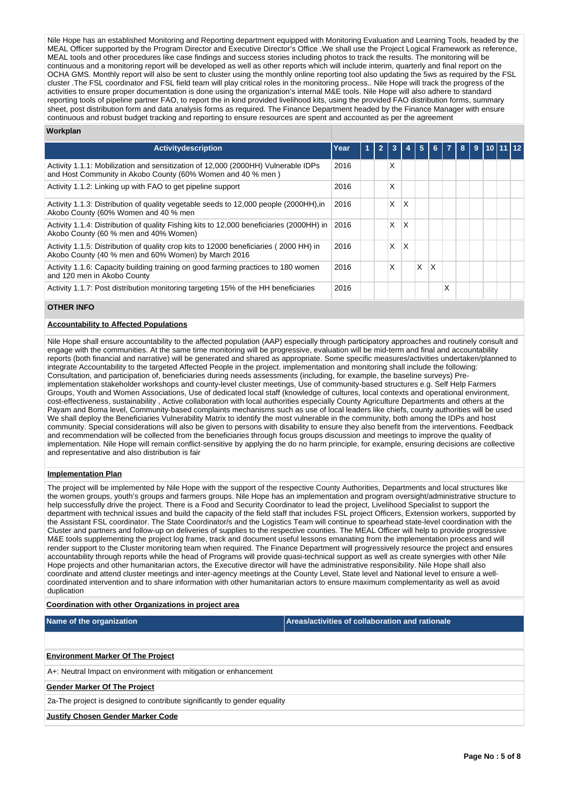Nile Hope has an established Monitoring and Reporting department equipped with Monitoring Evaluation and Learning Tools, headed by the MEAL Officer supported by the Program Director and Executive Director's Office .We shall use the Project Logical Framework as reference, MEAL tools and other procedures like case findings and success stories including photos to track the results. The monitoring will be continuous and a monitoring report will be developed as well as other reports which will include interim, quarterly and final report on the OCHA GMS. Monthly report will also be sent to cluster using the monthly online reporting tool also updating the 5ws as required by the FSL cluster .The FSL coordinator and FSL field team will play critical roles in the monitoring process.. Nile Hope will track the progress of the activities to ensure proper documentation is done using the organization's internal M&E tools. Nile Hope will also adhere to standard reporting tools of pipeline partner FAO, to report the in kind provided livelihood kits, using the provided FAO distribution forms, summary sheet, post distribution form and data analysis forms as required. The Finance Department headed by the Finance Manager with ensure continuous and robust budget tracking and reporting to ensure resources are spent and accounted as per the agreement

## **Workplan**

| <b>Activitydescription</b>                                                                                                                        | Year | ч١ |   |   | 5 | 6 |   | 8 | 9 |  |  |
|---------------------------------------------------------------------------------------------------------------------------------------------------|------|----|---|---|---|---|---|---|---|--|--|
|                                                                                                                                                   |      |    |   |   |   |   |   |   |   |  |  |
| Activity 1.1.1: Mobilization and sensitization of 12,000 (2000 HH) Vulnerable IDPs<br>and Host Community in Akobo County (60% Women and 40 % men) | 2016 |    | X |   |   |   |   |   |   |  |  |
| Activity 1.1.2: Linking up with FAO to get pipeline support                                                                                       | 2016 |    | X |   |   |   |   |   |   |  |  |
| Activity 1.1.3: Distribution of quality vegetable seeds to 12,000 people (2000HH), in<br>Akobo County (60% Women and 40 % men                     | 2016 |    | X | x |   |   |   |   |   |  |  |
| Activity 1.1.4: Distribution of quality Fishing kits to 12,000 beneficiaries (2000HH) in<br>Akobo County (60 % men and 40% Women)                 | 2016 |    | X | X |   |   |   |   |   |  |  |
| Activity 1.1.5: Distribution of quality crop kits to 12000 beneficiaries (2000 HH) in<br>Akobo County (40 % men and 60% Women) by March 2016      | 2016 |    | X | X |   |   |   |   |   |  |  |
| Activity 1.1.6: Capacity building training on good farming practices to 180 women<br>and 120 men in Akobo County                                  | 2016 |    | X |   | X | X |   |   |   |  |  |
| Activity 1.1.7: Post distribution monitoring targeting 15% of the HH beneficiaries                                                                | 2016 |    |   |   |   |   | х |   |   |  |  |

## **OTHER INFO**

#### **Accountability to Affected Populations**

Nile Hope shall ensure accountability to the affected population (AAP) especially through participatory approaches and routinely consult and engage with the communities. At the same time monitoring will be progressive, evaluation will be mid-term and final and accountability reports (both financial and narrative) will be generated and shared as appropriate. Some specific measures/activities undertaken/planned to integrate Accountability to the targeted Affected People in the project. implementation and monitoring shall include the following: Consultation, and participation of, beneficiaries during needs assessments (including, for example, the baseline surveys) Preimplementation stakeholder workshops and county-level cluster meetings, Use of community-based structures e.g. Self Help Farmers Groups, Youth and Women Associations, Use of dedicated local staff (knowledge of cultures, local contexts and operational environment, cost-effectiveness, sustainability , Active collaboration with local authorities especially County Agriculture Departments and others at the Payam and Boma level, Community-based complaints mechanisms such as use of local leaders like chiefs, county authorities will be used We shall deploy the Beneficiaries Vulnerability Matrix to identify the most vulnerable in the community, both among the IDPs and host community. Special considerations will also be given to persons with disability to ensure they also benefit from the interventions. Feedback and recommendation will be collected from the beneficiaries through focus groups discussion and meetings to improve the quality of implementation. Nile Hope will remain conflict-sensitive by applying the do no harm principle, for example, ensuring decisions are collective and representative and also distribution is fair

#### **Implementation Plan**

The project will be implemented by Nile Hope with the support of the respective County Authorities, Departments and local structures like the women groups, youth's groups and farmers groups. Nile Hope has an implementation and program oversight/administrative structure to help successfully drive the project. There is a Food and Security Coordinator to lead the project, Livelihood Specialist to support the department with technical issues and build the capacity of the field staff that includes FSL project Officers, Extension workers, supported by the Assistant FSL coordinator. The State Coordinator/s and the Logistics Team will continue to spearhead state-level coordination with the Cluster and partners and follow-up on deliveries of supplies to the respective counties. The MEAL Officer will help to provide progressive M&E tools supplementing the project log frame, track and document useful lessons emanating from the implementation process and will render support to the Cluster monitoring team when required. The Finance Department will progressively resource the project and ensures accountability through reports while the head of Programs will provide quasi-technical support as well as create synergies with other Nile Hope projects and other humanitarian actors, the Executive director will have the administrative responsibility. Nile Hope shall also coordinate and attend cluster meetings and inter-agency meetings at the County Level, State level and National level to ensure a wellcoordinated intervention and to share information with other humanitarian actors to ensure maximum complementarity as well as avoid duplication

#### **Coordination with other Organizations in project area**

**Name of the organization Areas/activities of collaboration and rationale** 

#### **Environment Marker Of The Project**

A+: Neutral Impact on environment with mitigation or enhancement

**Gender Marker Of The Project**

2a-The project is designed to contribute significantly to gender equality

#### **Justify Chosen Gender Marker Code**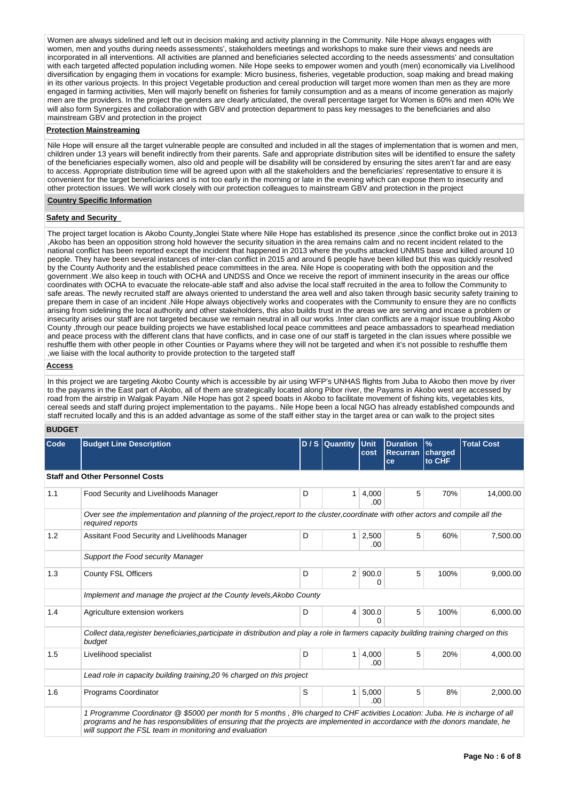Women are always sidelined and left out in decision making and activity planning in the Community. Nile Hope always engages with women, men and youths during needs assessments', stakeholders meetings and workshops to make sure their views and needs are incorporated in all interventions. All activities are planned and beneficiaries selected according to the needs assessments' and consultation with each targeted affected population including women. Nile Hope seeks to empower women and youth (men) economically via Livelihood diversification by engaging them in vocations for example: Micro business, fisheries, vegetable production, soap making and bread making in its other various projects. In this project Vegetable production and cereal production will target more women than men as they are more engaged in farming activities, Men will majorly benefit on fisheries for family consumption and as a means of income generation as majorly men are the providers. In the project the genders are clearly articulated, the overall percentage target for Women is 60% and men 40% We will also form Synergizes and collaboration with GBV and protection department to pass key messages to the beneficiaries and also mainstream GBV and protection in the project

#### **Protection Mainstreaming**

Nile Hope will ensure all the target vulnerable people are consulted and included in all the stages of implementation that is women and men, children under 13 years will benefit indirectly from their parents. Safe and appropriate distribution sites will be identified to ensure the safety of the beneficiaries especially women, also old and people will be disability will be considered by ensuring the sites aren't far and are easy to access. Appropriate distribution time will be agreed upon with all the stakeholders and the beneficiaries' representative to ensure it is convenient for the target beneficiaries and is not too early in the morning or late in the evening which can expose them to insecurity and other protection issues. We will work closely with our protection colleagues to mainstream GBV and protection in the project

# **Country Specific Information**

## **Safety and Security**

The project target location is Akobo County,Jonglei State where Nile Hope has established its presence ,since the conflict broke out in 2013 ,Akobo has been an opposition strong hold however the security situation in the area remains calm and no recent incident related to the national conflict has been reported except the incident that happened in 2013 where the youths attacked UNMIS base and killed around 10 people. They have been several instances of inter-clan conflict in 2015 and around 6 people have been killed but this was quickly resolved by the County Authority and the established peace committees in the area. Nile Hope is cooperating with both the opposition and the government .We also keep in touch with OCHA and UNDSS and Once we receive the report of imminent insecurity in the areas our office coordinates with OCHA to evacuate the relocate-able staff and also advise the local staff recruited in the area to follow the Community to safe areas. The newly recruited staff are always oriented to understand the area well and also taken through basic security safety training to prepare them in case of an incident .Nile Hope always objectively works and cooperates with the Community to ensure they are no conflicts arising from sidelining the local authority and other stakeholders, this also builds trust in the areas we are serving and incase a problem or insecurity arises our staff are not targeted because we remain neutral in all our works .Inter clan conflicts are a major issue troubling Akobo County ,through our peace building projects we have established local peace committees and peace ambassadors to spearhead mediation and peace process with the different clans that have conflicts, and in case one of our staff is targeted in the clan issues where possible we reshuffle them with other people in other Counties or Payams where they will not be targeted and when it's not possible to reshuffle them ,we liaise with the local authority to provide protection to the targeted staff

## **Access**

In this project we are targeting Akobo County which is accessible by air using WFP's UNHAS flights from Juba to Akobo then move by river to the payams in the East part of Akobo, all of them are strategically located along Pibor river, the Payams in Akobo west are accessed by road from the airstrip in Walgak Payam .Nile Hope has got 2 speed boats in Akobo to facilitate movement of fishing kits, vegetables kits, cereal seeds and staff during project implementation to the payams.. Nile Hope been a local NGO has already established compounds and staff recruited locally and this is an added advantage as some of the staff either stay in the target area or can walk to the project sites

## **BUDGET**

| Code | <b>Budget Line Description</b>                                                                                                                                                                                                                                                                                        |   | $D/S$ Quantity | Unit<br>cost          | <b>Duration</b><br><b>Recurran</b><br>ce | $\mathcal{V}_{\mathbf{0}}$<br>charged<br>to CHF | <b>Total Cost</b> |
|------|-----------------------------------------------------------------------------------------------------------------------------------------------------------------------------------------------------------------------------------------------------------------------------------------------------------------------|---|----------------|-----------------------|------------------------------------------|-------------------------------------------------|-------------------|
|      | <b>Staff and Other Personnel Costs</b>                                                                                                                                                                                                                                                                                |   |                |                       |                                          |                                                 |                   |
| 1.1  | Food Security and Livelihoods Manager                                                                                                                                                                                                                                                                                 | D | 1 <sup>1</sup> | 4,000<br>.00          | 5                                        | 70%                                             | 14,000.00         |
|      | Over see the implementation and planning of the project, report to the cluster, coordinate with other actors and compile all the<br>required reports                                                                                                                                                                  |   |                |                       |                                          |                                                 |                   |
| 1.2  | Assitant Food Security and Livelihoods Manager                                                                                                                                                                                                                                                                        | D |                | $1 \mid 2,500$<br>.00 | 5                                        | 60%                                             | 7,500.00          |
|      | Support the Food security Manager                                                                                                                                                                                                                                                                                     |   |                |                       |                                          |                                                 |                   |
| 1.3  | <b>County FSL Officers</b>                                                                                                                                                                                                                                                                                            | D | 2 <sup>1</sup> | 900.0<br>0            | 5                                        | 100%                                            | 9,000.00          |
|      | Implement and manage the project at the County levels, Akobo County                                                                                                                                                                                                                                                   |   |                |                       |                                          |                                                 |                   |
| 1.4  | Agriculture extension workers                                                                                                                                                                                                                                                                                         | D | $\vert$ 4      | 300.0<br>O            | 5                                        | 100%                                            | 6,000.00          |
|      | Collect data, register beneficiaries, participate in distribution and play a role in farmers capacity building training charged on this<br>budget                                                                                                                                                                     |   |                |                       |                                          |                                                 |                   |
| 1.5  | Livelihood specialist                                                                                                                                                                                                                                                                                                 | D | 1 <sup>1</sup> | 4,000<br>.00          | 5                                        | 20%                                             | 4,000.00          |
|      | Lead role in capacity building training, 20 % charged on this project                                                                                                                                                                                                                                                 |   |                |                       |                                          |                                                 |                   |
| 1.6  | Programs Coordinator                                                                                                                                                                                                                                                                                                  | S | 1 <sup>1</sup> | 5,000<br>.00.         | 5                                        | 8%                                              | 2,000.00          |
|      | 1 Programme Coordinator @ \$5000 per month for 5 months, 8% charged to CHF activities Location: Juba. He is incharge of all<br>programs and he has responsibilities of ensuring that the projects are implemented in accordance with the donors mandate, he<br>will support the FSL team in monitoring and evaluation |   |                |                       |                                          |                                                 |                   |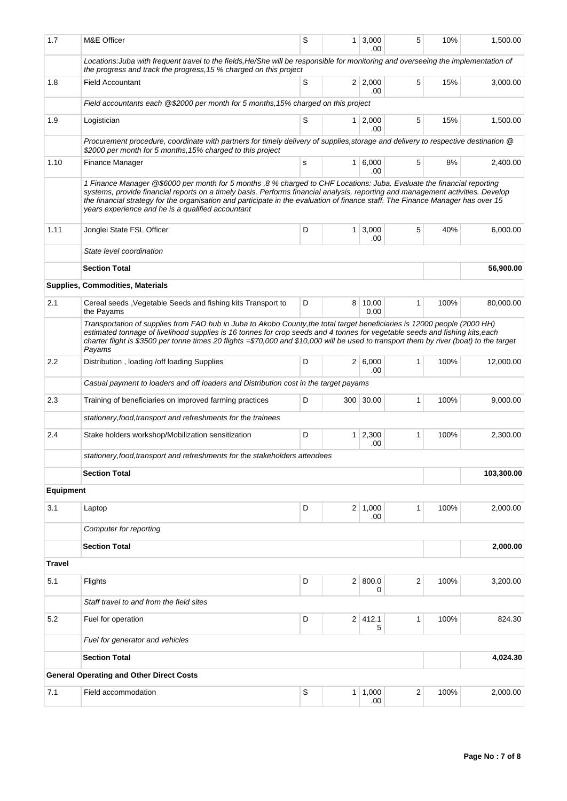| 1.7              | M&E Officer                                                                                                                                                                                                                                                                                                                                                                                                                                       | S   |                | 1 3,000<br>.00        | 5                       | 10%  | 1,500.00   |
|------------------|---------------------------------------------------------------------------------------------------------------------------------------------------------------------------------------------------------------------------------------------------------------------------------------------------------------------------------------------------------------------------------------------------------------------------------------------------|-----|----------------|-----------------------|-------------------------|------|------------|
|                  | Locations: Juba with frequent travel to the fields, He/She will be responsible for monitoring and overseeing the implementation of<br>the progress and track the progress, 15 % charged on this project                                                                                                                                                                                                                                           |     |                |                       |                         |      |            |
| 1.8              | <b>Field Accountant</b>                                                                                                                                                                                                                                                                                                                                                                                                                           | S   |                | 2 2,000<br>.00        | 5                       | 15%  | 3,000.00   |
|                  | Field accountants each @\$2000 per month for 5 months, 15% charged on this project                                                                                                                                                                                                                                                                                                                                                                |     |                |                       |                         |      |            |
| 1.9              | Logistician                                                                                                                                                                                                                                                                                                                                                                                                                                       | 15% | 1,500.00       |                       |                         |      |            |
|                  | Procurement procedure, coordinate with partners for timely delivery of supplies, storage and delivery to respective destination @<br>\$2000 per month for 5 months, 15% charged to this project                                                                                                                                                                                                                                                   |     |                |                       |                         |      |            |
| 1.10             | <b>Finance Manager</b>                                                                                                                                                                                                                                                                                                                                                                                                                            | s   |                | $1 \, 6,000$<br>.00   | 5                       | 8%   | 2,400.00   |
|                  | 1 Finance Manager @\$6000 per month for 5 months ,8 % charged to CHF Locations: Juba. Evaluate the financial reporting<br>systems, provide financial reports on a timely basis. Performs financial analysis, reporting and management activities. Develop<br>the financial strategy for the organisation and participate in the evaluation of finance staff. The Finance Manager has over 15<br>years experience and he is a qualified accountant |     |                |                       |                         |      |            |
| 1.11             | Jonglei State FSL Officer                                                                                                                                                                                                                                                                                                                                                                                                                         | D   |                | $1 \mid 3,000$<br>.00 | 5                       | 40%  | 6,000.00   |
|                  | State level coordination                                                                                                                                                                                                                                                                                                                                                                                                                          |     |                |                       |                         |      |            |
|                  | <b>Section Total</b>                                                                                                                                                                                                                                                                                                                                                                                                                              |     |                |                       |                         |      | 56,900.00  |
|                  | <b>Supplies, Commodities, Materials</b>                                                                                                                                                                                                                                                                                                                                                                                                           |     |                |                       |                         |      |            |
| 2.1              | Cereal seeds, Vegetable Seeds and fishing kits Transport to<br>the Payams                                                                                                                                                                                                                                                                                                                                                                         | D   |                | 8 10,00<br>0.00       | 1                       | 100% | 80,000.00  |
|                  | Transportation of supplies from FAO hub in Juba to Akobo County, the total target beneficiaries is 12000 people (2000 HH)<br>estimated tonnage of livelihood supplies is 16 tonnes for crop seeds and 4 tonnes for vegetable seeds and fishing kits, each<br>charter flight is \$3500 per tonne times 20 flights =\$70,000 and \$10,000 will be used to transport them by river (boat) to the target<br>Payams                                    |     |                |                       |                         |      |            |
| 2.2              | Distribution, loading /off loading Supplies                                                                                                                                                                                                                                                                                                                                                                                                       | D   |                | 2   6,000<br>.00      | 1                       | 100% | 12,000.00  |
|                  | Casual payment to loaders and off loaders and Distribution cost in the target payams                                                                                                                                                                                                                                                                                                                                                              |     |                |                       |                         |      |            |
| 2.3              | Training of beneficiaries on improved farming practices                                                                                                                                                                                                                                                                                                                                                                                           | D   |                | 300 30.00             | 1                       | 100% | 9,000.00   |
|                  | stationery, food, transport and refreshments for the trainees                                                                                                                                                                                                                                                                                                                                                                                     |     |                |                       |                         |      |            |
| 2.4              | Stake holders workshop/Mobilization sensitization                                                                                                                                                                                                                                                                                                                                                                                                 | D   |                | $1 \mid 2,300$<br>.00 | 1                       | 100% | 2,300.00   |
|                  | stationery, food, transport and refreshments for the stakeholders attendees                                                                                                                                                                                                                                                                                                                                                                       |     |                |                       |                         |      |            |
|                  | <b>Section Total</b>                                                                                                                                                                                                                                                                                                                                                                                                                              |     |                |                       |                         |      | 103,300.00 |
| <b>Equipment</b> |                                                                                                                                                                                                                                                                                                                                                                                                                                                   |     |                |                       |                         |      |            |
| 3.1              | Laptop                                                                                                                                                                                                                                                                                                                                                                                                                                            | D   |                | 2 1,000<br>.00        | 1                       | 100% | 2,000.00   |
|                  | Computer for reporting                                                                                                                                                                                                                                                                                                                                                                                                                            |     |                |                       |                         |      |            |
|                  | <b>Section Total</b>                                                                                                                                                                                                                                                                                                                                                                                                                              |     |                |                       |                         |      | 2,000.00   |
| <b>Travel</b>    |                                                                                                                                                                                                                                                                                                                                                                                                                                                   |     |                |                       |                         |      |            |
| 5.1              | Flights                                                                                                                                                                                                                                                                                                                                                                                                                                           | D   |                | 2   800.0<br>0        | $\overline{\mathbf{c}}$ | 100% | 3,200.00   |
|                  | Staff travel to and from the field sites                                                                                                                                                                                                                                                                                                                                                                                                          |     |                |                       |                         |      |            |
| 5.2              | Fuel for operation                                                                                                                                                                                                                                                                                                                                                                                                                                | D   |                | 2 412.1<br>5          | 1                       | 100% | 824.30     |
|                  | Fuel for generator and vehicles                                                                                                                                                                                                                                                                                                                                                                                                                   |     |                |                       |                         |      |            |
|                  | <b>Section Total</b>                                                                                                                                                                                                                                                                                                                                                                                                                              |     |                |                       |                         |      | 4,024.30   |
|                  | <b>General Operating and Other Direct Costs</b>                                                                                                                                                                                                                                                                                                                                                                                                   |     |                |                       |                         |      |            |
| 7.1              | Field accommodation                                                                                                                                                                                                                                                                                                                                                                                                                               | S   | 1 <sup>1</sup> | 1,000<br>.00          | $\overline{2}$          | 100% | 2,000.00   |